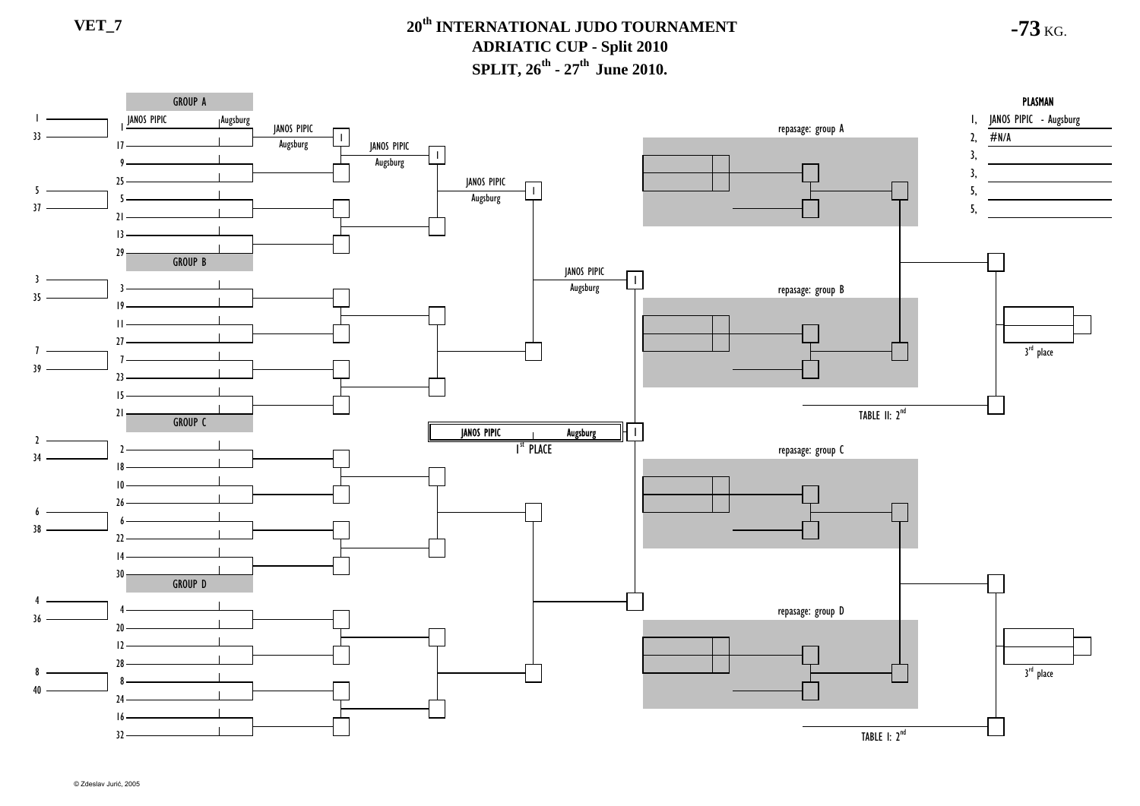

© Zdeslav Jurić, 2005

**-73** KG.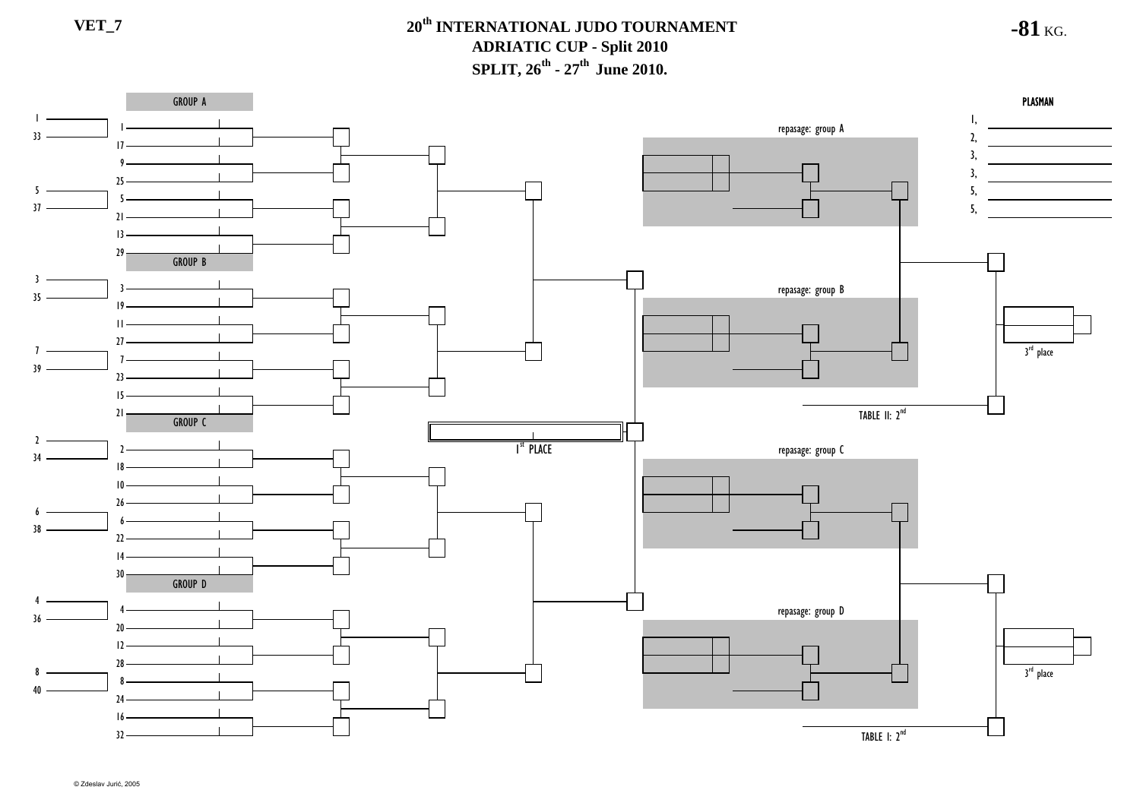

**-81** KG.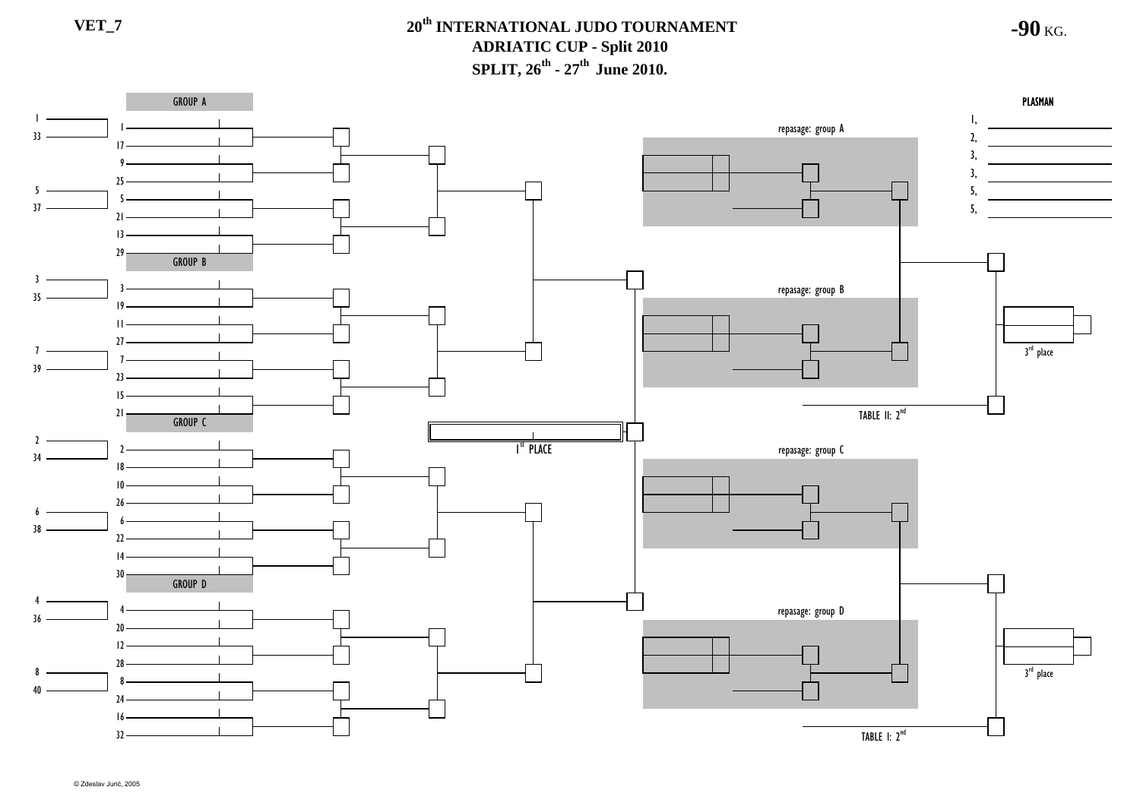

**-90** KG.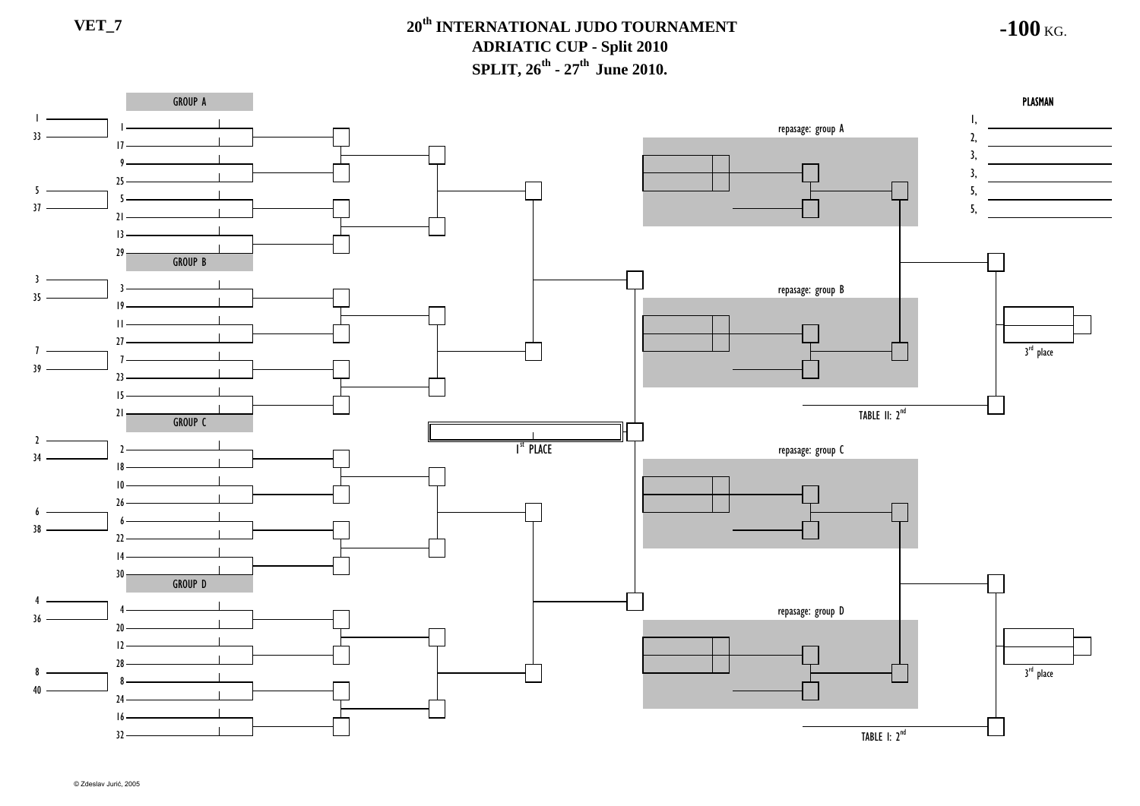**-100** KG.

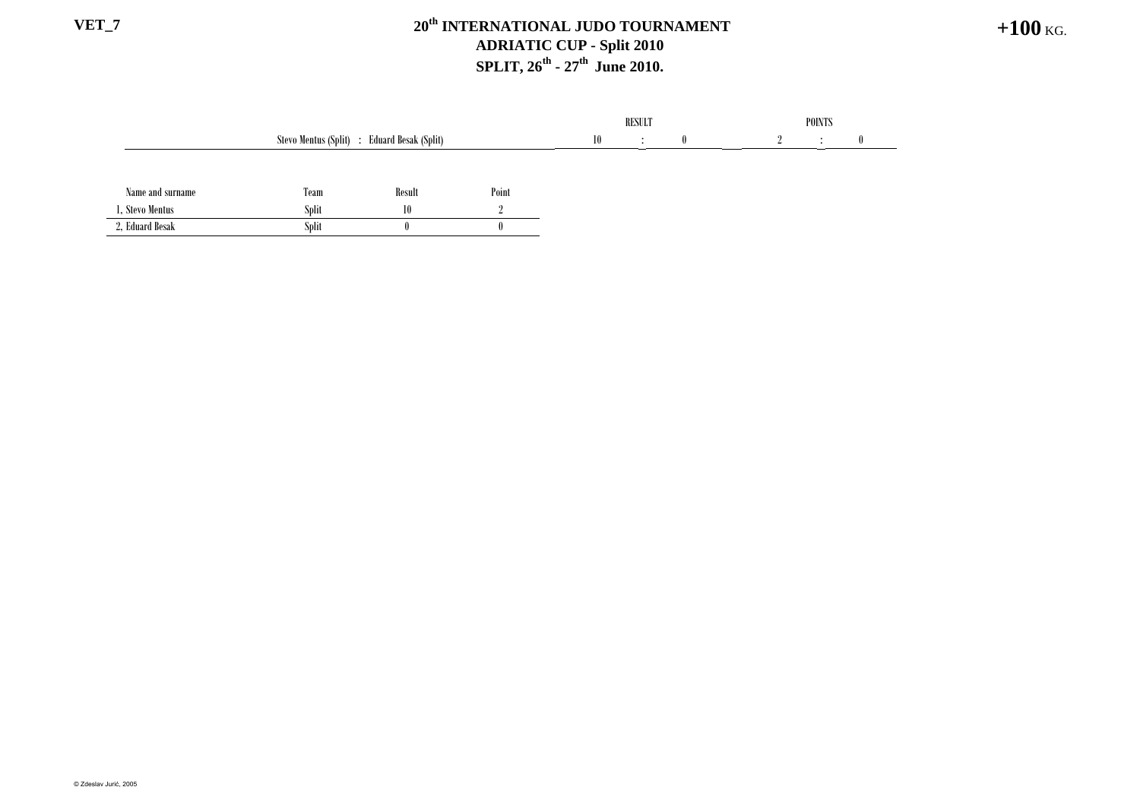## **VET\_7 20th INTERNATIONAL JUDO TOURNAMENT ADRIATIC CUP - Split 2010 SPLIT, 26<sup>th</sup> - 27<sup>th</sup> June 2010.**

|                  |                                             |              |       |    | <b>RESULT</b> |              | <b>POINTS</b> |  |  |
|------------------|---------------------------------------------|--------------|-------|----|---------------|--------------|---------------|--|--|
|                  | Stevo Mentus (Split) : Eduard Besak (Split) |              |       | 10 | $\bullet$     | $\mathbf{0}$ |               |  |  |
|                  |                                             |              |       |    |               |              |               |  |  |
| Name and surname | Team                                        | Result       | Point |    |               |              |               |  |  |
| 1. Stevo Mentus  | <b>Split</b>                                | 10           |       |    |               |              |               |  |  |
| 2, Eduard Besak  | Split                                       | $\mathbf{0}$ |       |    |               |              |               |  |  |

**+100** KG.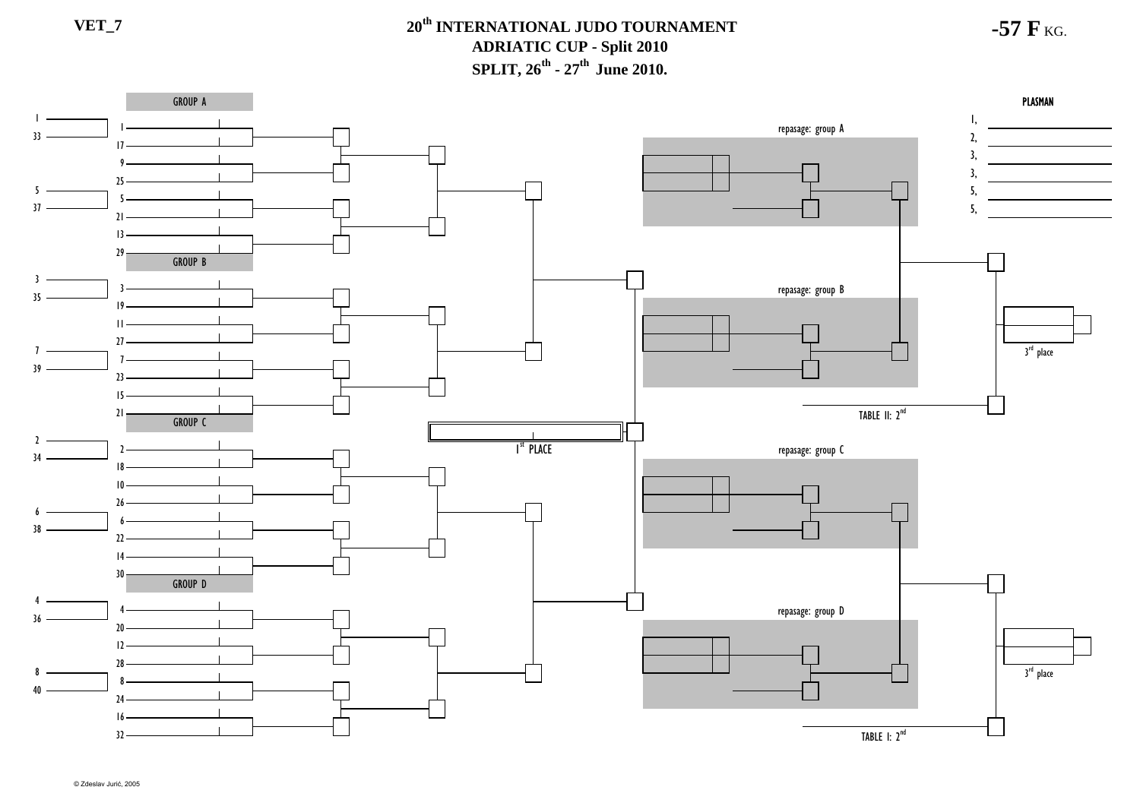

**-57 F** KG.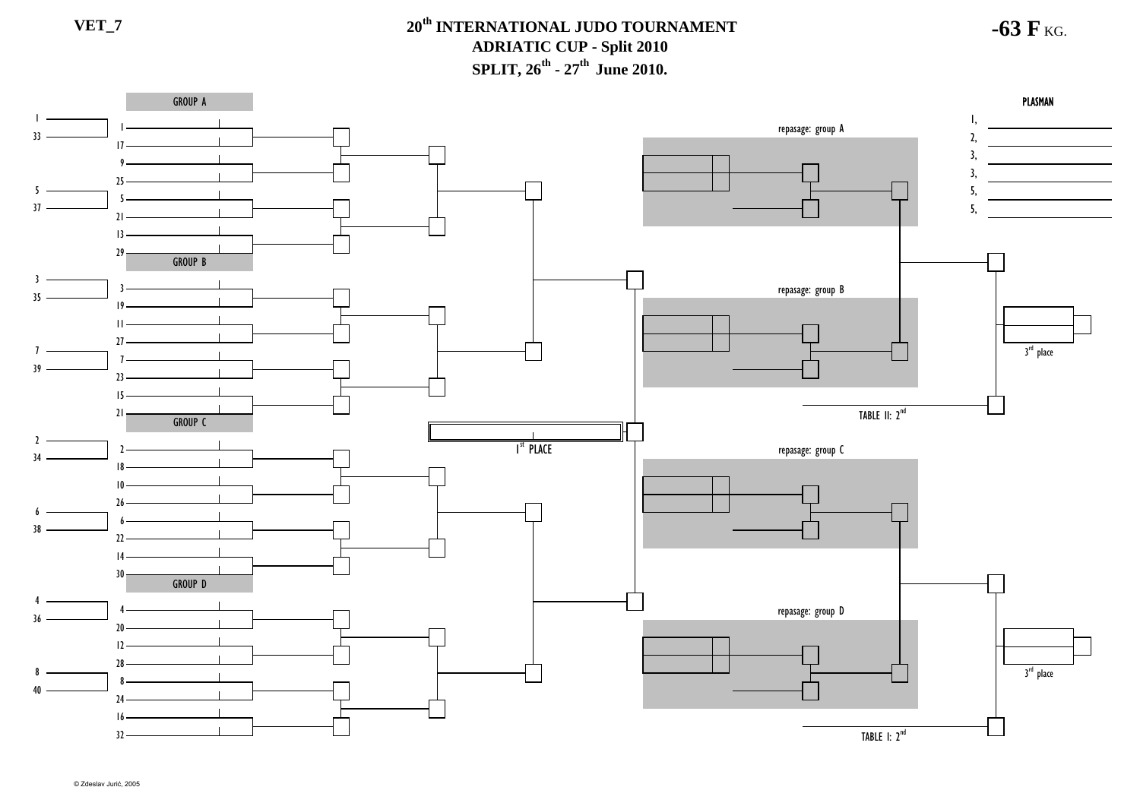GROUP A**PLASMAN** A DISPONSIVA PLASMAN PLASMAN DISPONSIVA PROGRESSIVA PROGRESSIVA PROGRESSIVA PROGRESSIVA PROGRESSIVA PROGRESSIVA PROGRESSIVA PROGRESSIVA PROGRESSIVA PROGRESSIVA PROGRESSIVA PROGRESSIVA PROGRESSIVA PROGRESSIVA PROGRESSIVA PR  $\blacksquare$ 1, repasage: group A 332,  $17 -$ 3, <u> Albanya (Albanya)</u> 93, 2555, 537 5,  $21 -$ 1329 GROUP B 3repasage: group B 35  $10 -$ 11 $27$ 3<sup>rd</sup> place 7739 $23 -$ 15TABLE II: 2<sup>nd</sup> 21 GROUP C $\mathcal{L}$ repasage: group C I<sup>st</sup> Place າ 341810266638  $\mathcal{D}$ 1430GROUP D 4repasage: group D 436  $20<sub>2</sub>$ 12283<sup>rd</sup> place 884024  $16 -$ TABLE I: 2<sup>nd</sup> 32

**-63 F** KG.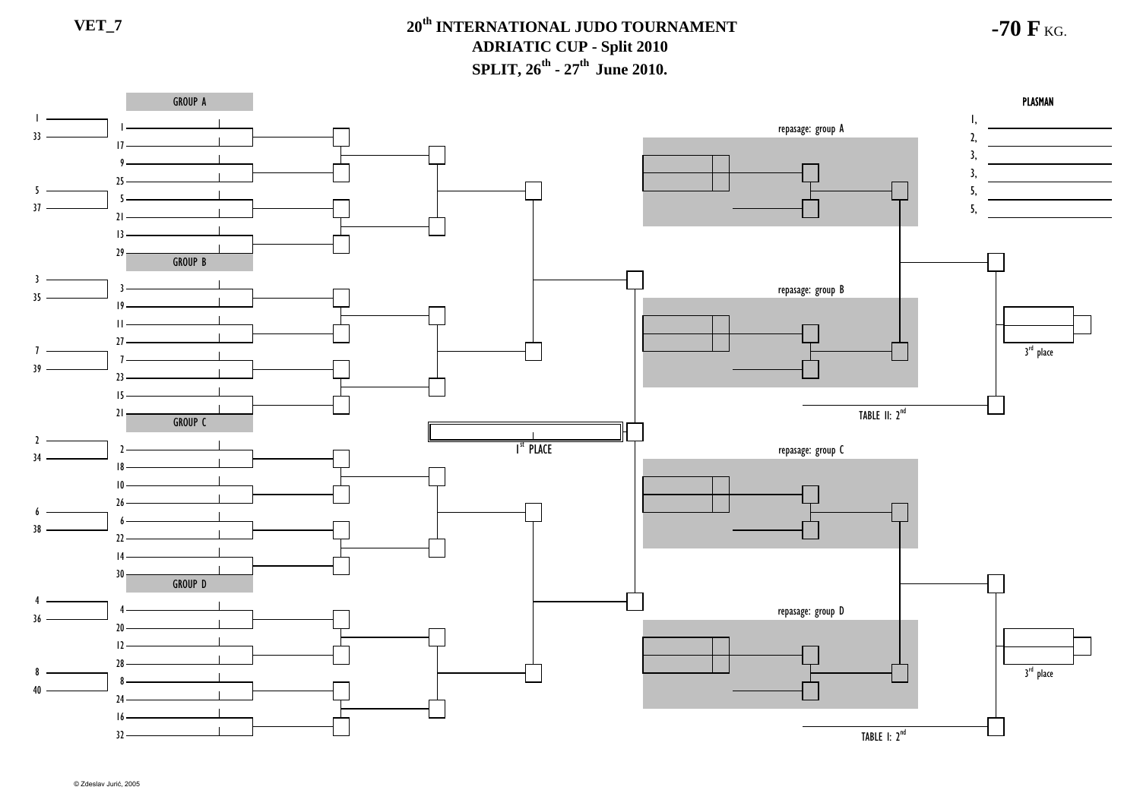**-70 F** KG.

GROUP A**PLASMAN** A DISPONSIVA PLASMAN PLASMAN DISPONSIVA PROGRESSIVA PROGRESSIVA PROGRESSIVA PROGRESSIVA PROGRESSIVA PROGRESSIVA PROGRESSIVA PROGRESSIVA PROGRESSIVA PROGRESSIVA PROGRESSIVA PROGRESSIVA PROGRESSIVA PROGRESSIVA PROGRESSIVA PR  $\blacksquare$ 1, repasage: group A 332,  $17 -$ 3, <u> 1990 - John Barn Barn, amerikan b</u> 93, 2555, 537 5,  $21 -$ 1329 GROUP B 3repasage: group B 35  $10 -$ 11 $27$ 3<sup>rd</sup> place 7739 $23 -$ 15TABLE II: 2<sup>nd</sup> 21 GROUP C $\mathcal{L}$ repasage: group C I<sup>st</sup> Place າ 341810266638  $22 -$ 1430GROUP D 4repasage: group D 436  $20<sub>2</sub>$ 12283<sup>rd</sup> place 884024  $16 -$ TABLE I: 2<sup>nd</sup> 32